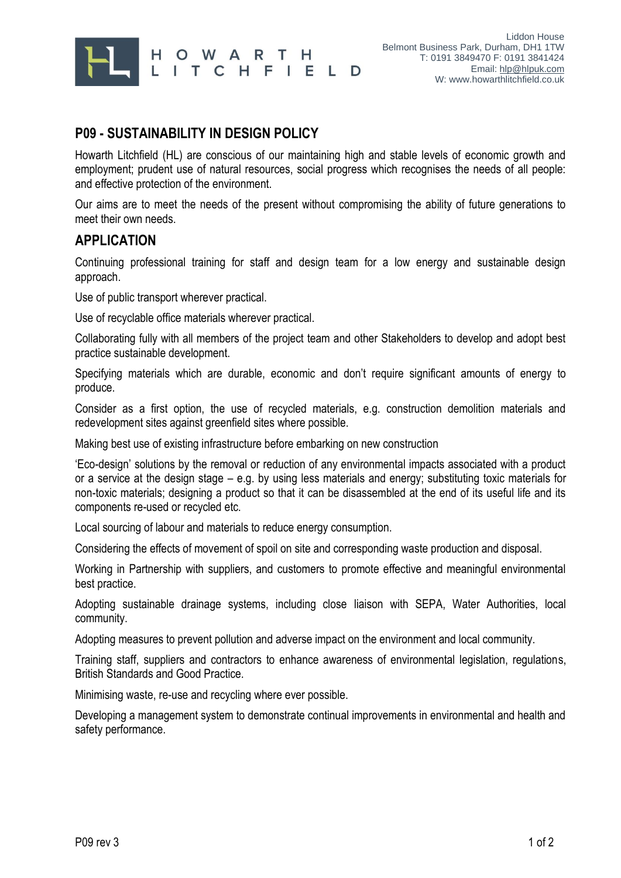

## **P09 - SUSTAINABILITY IN DESIGN POLICY**

Howarth Litchfield (HL) are conscious of our maintaining high and stable levels of economic growth and employment; prudent use of natural resources, social progress which recognises the needs of all people: and effective protection of the environment.

Our aims are to meet the needs of the present without compromising the ability of future generations to meet their own needs.

## **APPLICATION**

Continuing professional training for staff and design team for a low energy and sustainable design approach.

Use of public transport wherever practical.

Use of recyclable office materials wherever practical.

Collaborating fully with all members of the project team and other Stakeholders to develop and adopt best practice sustainable development.

Specifying materials which are durable, economic and don't require significant amounts of energy to produce.

Consider as a first option, the use of recycled materials, e.g. construction demolition materials and redevelopment sites against greenfield sites where possible.

Making best use of existing infrastructure before embarking on new construction

'Eco-design' solutions by the removal or reduction of any environmental impacts associated with a product or a service at the design stage – e.g. by using less materials and energy; substituting toxic materials for non-toxic materials; designing a product so that it can be disassembled at the end of its useful life and its components re-used or recycled etc.

Local sourcing of labour and materials to reduce energy consumption.

Considering the effects of movement of spoil on site and corresponding waste production and disposal.

Working in Partnership with suppliers, and customers to promote effective and meaningful environmental best practice.

Adopting sustainable drainage systems, including close liaison with SEPA, Water Authorities, local community.

Adopting measures to prevent pollution and adverse impact on the environment and local community.

Training staff, suppliers and contractors to enhance awareness of environmental legislation, regulations, British Standards and Good Practice.

Minimising waste, re-use and recycling where ever possible.

Developing a management system to demonstrate continual improvements in environmental and health and safety performance.